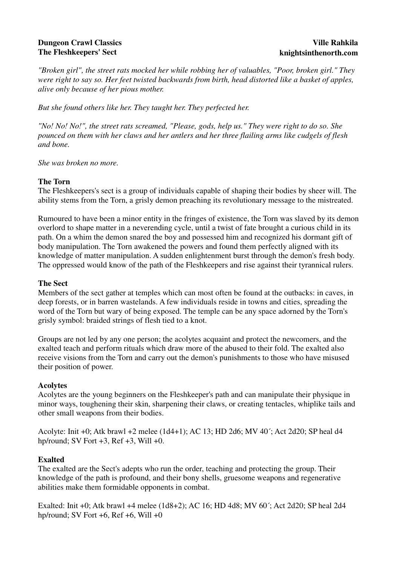# **Dungeon Crawl Classics The Fleshkeepers' Sect**

*"Broken girl", the street rats mocked her while robbing her of valuables, "Poor, broken girl." They were right to say so. Her feet twisted backwards from birth, head distorted like a basket of apples, alive only because of her pious mother.* 

*But she found others like her. They taught her. They perfected her.* 

*"No! No! No!", the street rats screamed, "Please, gods, help us." They were right to do so. She pounced on them with her claws and her antlers and her three flailing arms like cudgels of flesh and bone.* 

*She was broken no more.*

# **The Torn**

The Fleshkeepers's sect is a group of individuals capable of shaping their bodies by sheer will. The ability stems from the Torn, a grisly demon preaching its revolutionary message to the mistreated.

Rumoured to have been a minor entity in the fringes of existence, the Torn was slaved by its demon overlord to shape matter in a neverending cycle, until a twist of fate brought a curious child in its path. On a whim the demon snared the boy and possessed him and recognized his dormant gift of body manipulation. The Torn awakened the powers and found them perfectly aligned with its knowledge of matter manipulation. A sudden enlightenment burst through the demon's fresh body. The oppressed would know of the path of the Fleshkeepers and rise against their tyrannical rulers.

# **The Sect**

Members of the sect gather at temples which can most often be found at the outbacks: in caves, in deep forests, or in barren wastelands. A few individuals reside in towns and cities, spreading the word of the Torn but wary of being exposed. The temple can be any space adorned by the Torn's grisly symbol: braided strings of flesh tied to a knot.

Groups are not led by any one person; the acolytes acquaint and protect the newcomers, and the exalted teach and perform rituals which draw more of the abused to their fold. The exalted also receive visions from the Torn and carry out the demon's punishments to those who have misused their position of power.

# **Acolytes**

Acolytes are the young beginners on the Fleshkeeper's path and can manipulate their physique in minor ways, toughening their skin, sharpening their claws, or creating tentacles, whiplike tails and other small weapons from their bodies.

Acolyte: Init +0; Atk brawl +2 melee (1d4+1); AC 13; HD 2d6; MV 40´; Act 2d20; SP heal d4 hp/round; SV Fort  $+3$ , Ref  $+3$ , Will  $+0$ .

# **Exalted**

The exalted are the Sect's adepts who run the order, teaching and protecting the group. Their knowledge of the path is profound, and their bony shells, gruesome weapons and regenerative abilities make them formidable opponents in combat.

Exalted: Init +0; Atk brawl +4 melee (1d8+2); AC 16; HD 4d8; MV 60´; Act 2d20; SP heal 2d4 hp/round; SV Fort  $+6$ , Ref  $+6$ , Will  $+0$